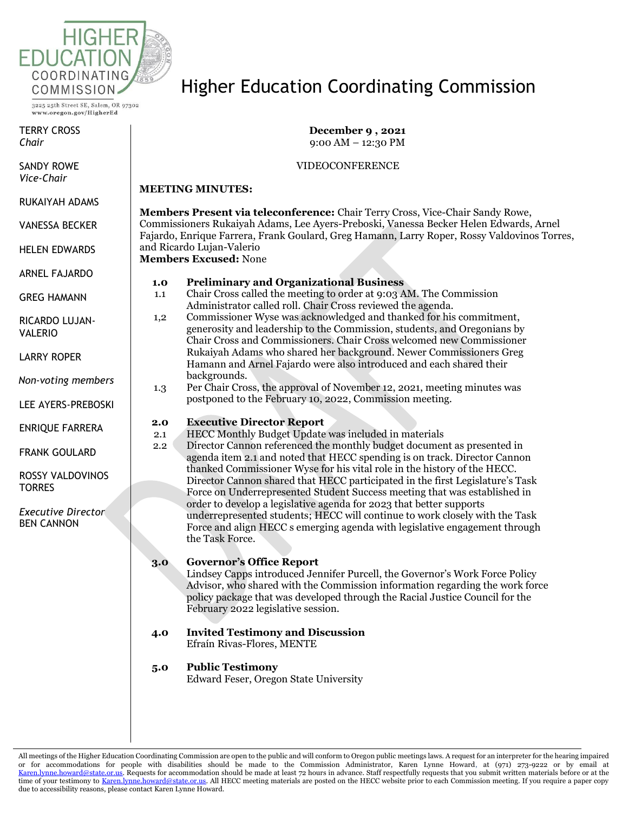

TERRY CROSS *Chair*

SANDY ROWE *Vice-Chair*

RUKAIYAH ADAMS

VANESSA BECKER

HELEN EDWARDS

ARNEL FAJARDO

GREG HAMANN

RICARDO LUJAN-VALERIO

LARRY ROPER

*Non-voting members*

LEE AYERS-PREBOSKI

ENRIQUE FARRERA

FRANK GOULARD

ROSSY VALDOVINOS **TORRES** 

*Executive Director* BEN CANNON

## Higher Education Coordinating Commission

**December 9 , 2021** 9:00 AM – 12:30 PM

#### VIDEOCONFERENCE

#### **MEETING MINUTES:**

**Members Present via teleconference:** Chair Terry Cross, Vice-Chair Sandy Rowe, Commissioners Rukaiyah Adams, Lee Ayers-Preboski, Vanessa Becker Helen Edwards, Arnel Fajardo, Enrique Farrera, Frank Goulard, Greg Hamann, Larry Roper, Rossy Valdovinos Torres, and Ricardo Lujan-Valerio

**Members Excused:** None

#### **1.0 Preliminary and Organizational Business**

- 1.1 Chair Cross called the meeting to order at 9:03 AM. The Commission Administrator called roll. Chair Cross reviewed the agenda.
- 1,2 Commissioner Wyse was acknowledged and thanked for his commitment, generosity and leadership to the Commission, students, and Oregonians by Chair Cross and Commissioners. Chair Cross welcomed new Commissioner Rukaiyah Adams who shared her background. Newer Commissioners Greg Hamann and Arnel Fajardo were also introduced and each shared their backgrounds.
- 1.3 Per Chair Cross, the approval of November 12, 2021, meeting minutes was postponed to the February 10, 2022, Commission meeting.

#### **2.0 Executive Director Report**

- 2.1 HECC Monthly Budget Update was included in materials
- 2.2 Director Cannon referenced the monthly budget document as presented in agenda item 2.1 and noted that HECC spending is on track. Director Cannon thanked Commissioner Wyse for his vital role in the history of the HECC. Director Cannon shared that HECC participated in the first Legislature's Task Force on Underrepresented Student Success meeting that was established in order to develop a legislative agenda for 2023 that better supports underrepresented students; HECC will continue to work closely with the Task Force and align HECC s emerging agenda with legislative engagement through the Task Force.

#### **3.0 Governor's Office Report**

Lindsey Capps introduced Jennifer Purcell, the Governor's Work Force Policy Advisor, who shared with the Commission information regarding the work force policy package that was developed through the Racial Justice Council for the February 2022 legislative session.

**4.0 Invited Testimony and Discussion** Efraín Rivas-Flores, MENTE

## **5.0 Public Testimony**

Edward Feser, Oregon State University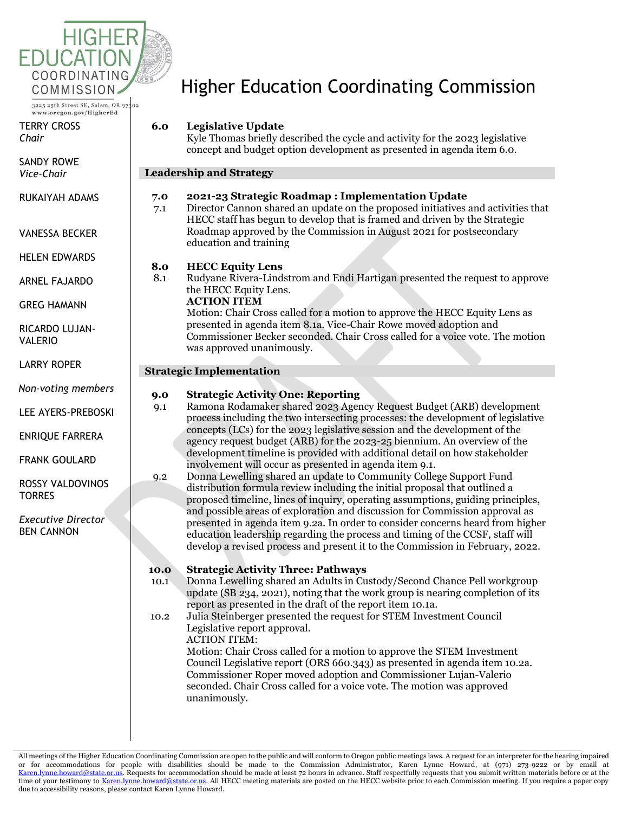

TERRY CROSS *Chair*

SANDY ROWE *Vice-Chair*

RUKAIYAH ADAMS

VANESSA BECKER

HELEN EDWARDS

ARNEL FAJARDO

GREG HAMANN

RICARDO LUJAN-VALERIO

LARRY ROPER

*Non-voting members*

LEE AYERS-PREBOSKI

ENRIQUE FARRERA

FRANK GOULARD

ROSSY VALDOVINOS **TORRES** 

*Executive Director* BEN CANNON

# Higher Education Coordinating Commission

## **6.0 Legislative Update**

Kyle Thomas briefly described the cycle and activity for the 2023 legislative concept and budget option development as presented in agenda item 6.0.

#### **Leadership and Strategy**

#### **7.0 2021-23 Strategic Roadmap : Implementation Update**

7.1 Director Cannon shared an update on the proposed initiatives and activities that HECC staff has begun to develop that is framed and driven by the Strategic Roadmap approved by the Commission in August 2021 for postsecondary education and training

## **8.0 HECC Equity Lens**

8.1 Rudyane Rivera-Lindstrom and Endi Hartigan presented the request to approve the HECC Equity Lens.

## **ACTION ITEM**

Motion: Chair Cross called for a motion to approve the HECC Equity Lens as presented in agenda item 8.1a. Vice-Chair Rowe moved adoption and Commissioner Becker seconded. Chair Cross called for a voice vote. The motion was approved unanimously.

#### **Strategic Implementation**

#### **9.0 Strategic Activity One: Reporting**

- 9.1 Ramona Rodamaker shared 2023 Agency Request Budget (ARB) development process including the two intersecting processes: the development of legislative concepts (LCs) for the 2023 legislative session and the development of the agency request budget (ARB) for the 2023-25 biennium. An overview of the development timeline is provided with additional detail on how stakeholder involvement will occur as presented in agenda item 9.1.
- 9.2 Donna Lewelling shared an update to Community College Support Fund distribution formula review including the initial proposal that outlined a proposed timeline, lines of inquiry, operating assumptions, guiding principles, and possible areas of exploration and discussion for Commission approval as presented in agenda item 9.2a. In order to consider concerns heard from higher education leadership regarding the process and timing of the CCSF, staff will develop a revised process and present it to the Commission in February, 2022.

## **10.0 Strategic Activity Three: Pathways**

- 10.1 Donna Lewelling shared an Adults in Custody/Second Chance Pell workgroup update (SB 234, 2021), noting that the work group is nearing completion of its report as presented in the draft of the report item 10.1a.
- 10.2 Julia Steinberger presented the request for STEM Investment Council Legislative report approval. ACTION ITEM:

Motion: Chair Cross called for a motion to approve the STEM Investment Council Legislative report (ORS 660.343) as presented in agenda item 10.2a. Commissioner Roper moved adoption and Commissioner Lujan-Valerio seconded. Chair Cross called for a voice vote. The motion was approved unanimously.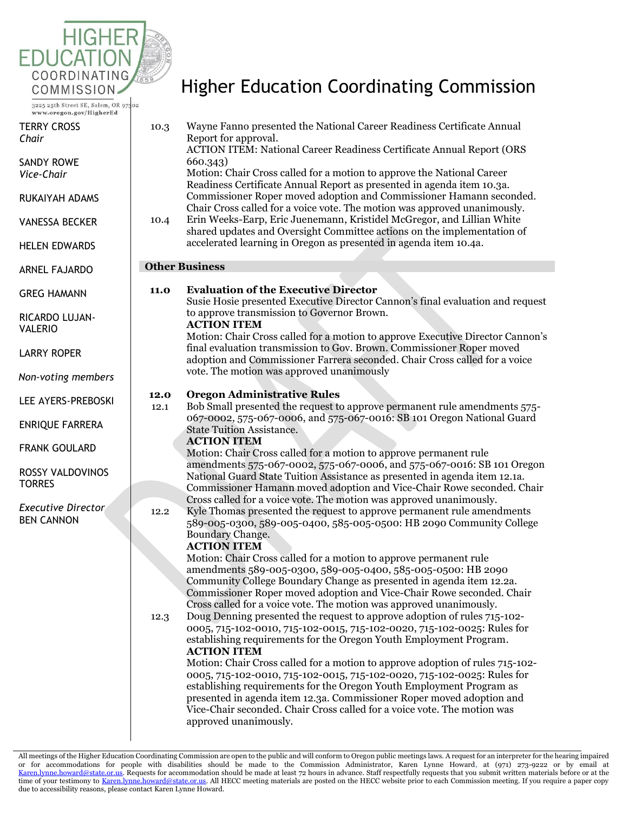

TERRY CROSS *Chair*

SANDY ROWE *Vice-Chair*

RUKAIYAH ADAMS

VANESSA BECKER

HELEN EDWARDS

ARNEL FAJARDO

GREG HAMANN

RICARDO LUJAN-VALERIO

LARRY ROPER

*Non-voting members*

LEE AYERS-PREBOSKI

ENRIQUE FARRERA

FRANK GOULARD

ROSSY VALDOVINOS **TORRES** 

*Executive Director* BEN CANNON

# Higher Education Coordinating Commission

| 10.3<br>10.4          | Wayne Fanno presented the National Career Readiness Certificate Annual<br>Report for approval.<br><b>ACTION ITEM: National Career Readiness Certificate Annual Report (ORS</b><br>660.343)<br>Motion: Chair Cross called for a motion to approve the National Career<br>Readiness Certificate Annual Report as presented in agenda item 10.3a.<br>Commissioner Roper moved adoption and Commissioner Hamann seconded.<br>Chair Cross called for a voice vote. The motion was approved unanimously.<br>Erin Weeks-Earp, Eric Juenemann, Kristidel McGregor, and Lillian White                                                                                                                                                                                                                                                                                                                                                                                                                                                   |  |  |
|-----------------------|--------------------------------------------------------------------------------------------------------------------------------------------------------------------------------------------------------------------------------------------------------------------------------------------------------------------------------------------------------------------------------------------------------------------------------------------------------------------------------------------------------------------------------------------------------------------------------------------------------------------------------------------------------------------------------------------------------------------------------------------------------------------------------------------------------------------------------------------------------------------------------------------------------------------------------------------------------------------------------------------------------------------------------|--|--|
|                       | shared updates and Oversight Committee actions on the implementation of<br>accelerated learning in Oregon as presented in agenda item 10.4a.                                                                                                                                                                                                                                                                                                                                                                                                                                                                                                                                                                                                                                                                                                                                                                                                                                                                                   |  |  |
| <b>Other Business</b> |                                                                                                                                                                                                                                                                                                                                                                                                                                                                                                                                                                                                                                                                                                                                                                                                                                                                                                                                                                                                                                |  |  |
| 11.0                  | <b>Evaluation of the Executive Director</b><br>Susie Hosie presented Executive Director Cannon's final evaluation and request<br>to approve transmission to Governor Brown.<br><b>ACTION ITEM</b><br>Motion: Chair Cross called for a motion to approve Executive Director Cannon's<br>final evaluation transmission to Gov. Brown. Commissioner Roper moved<br>adoption and Commissioner Farrera seconded. Chair Cross called for a voice<br>vote. The motion was approved unanimously                                                                                                                                                                                                                                                                                                                                                                                                                                                                                                                                        |  |  |
| 12.0<br>12.1          | <b>Oregon Administrative Rules</b><br>Bob Small presented the request to approve permanent rule amendments 575-<br>067-0002, 575-067-0006, and 575-067-0016: SB 101 Oregon National Guard<br><b>State Tuition Assistance.</b><br><b>ACTION ITEM</b><br>Motion: Chair Cross called for a motion to approve permanent rule<br>amendments 575-067-0002, 575-067-0006, and 575-067-0016: SB 101 Oregon<br>National Guard State Tuition Assistance as presented in agenda item 12.1a.                                                                                                                                                                                                                                                                                                                                                                                                                                                                                                                                               |  |  |
|                       | Commissioner Hamann moved adoption and Vice-Chair Rowe seconded. Chair                                                                                                                                                                                                                                                                                                                                                                                                                                                                                                                                                                                                                                                                                                                                                                                                                                                                                                                                                         |  |  |
| 12.2                  | Cross called for a voice vote. The motion was approved unanimously.<br>Kyle Thomas presented the request to approve permanent rule amendments<br>589-005-0300, 589-005-0400, 585-005-0500: HB 2090 Community College<br>Boundary Change.<br><b>ACTION ITEM</b>                                                                                                                                                                                                                                                                                                                                                                                                                                                                                                                                                                                                                                                                                                                                                                 |  |  |
| 12.3                  | Motion: Chair Cross called for a motion to approve permanent rule<br>amendments 589-005-0300, 589-005-0400, 585-005-0500: HB 2090<br>Community College Boundary Change as presented in agenda item 12.2a.<br>Commissioner Roper moved adoption and Vice-Chair Rowe seconded. Chair<br>Cross called for a voice vote. The motion was approved unanimously.<br>Doug Denning presented the request to approve adoption of rules 715-102-<br>0005, 715-102-0010, 715-102-0015, 715-102-0020, 715-102-0025: Rules for<br>establishing requirements for the Oregon Youth Employment Program.<br><b>ACTION ITEM</b><br>Motion: Chair Cross called for a motion to approve adoption of rules 715-102-<br>0005, 715-102-0010, 715-102-0015, 715-102-0020, 715-102-0025: Rules for<br>establishing requirements for the Oregon Youth Employment Program as<br>presented in agenda item 12.3a. Commissioner Roper moved adoption and<br>Vice-Chair seconded. Chair Cross called for a voice vote. The motion was<br>approved unanimously. |  |  |